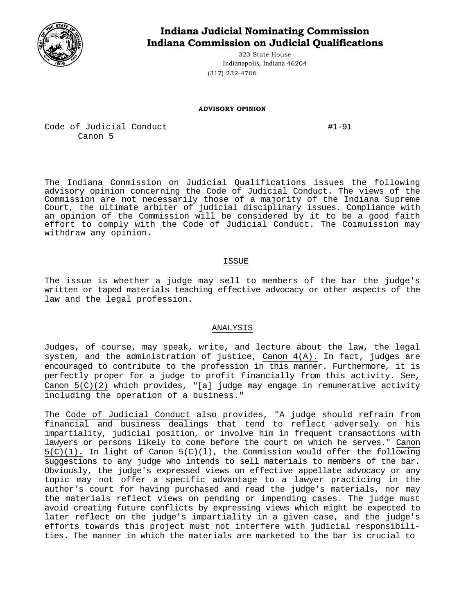

# **Indiana Judicial Nominating Commission Indiana Commission on Judicial Qualifications**

323 State House Indianapolis, Indiana 46204 (317) 232-4706

#### **ADVISORY OPINION**

Code of Judicial Conduct  $\#1-91$ Canon 5

The Indiana Conmission on Judicial Qualifications issues the following advisory opinion concerning the Code of Judicial Conduct. The views of the Commission are not necessarily those of a majority of the Indiana Supreme Court, the ultimate arbiter of judicial disciplinary issues. Compliance with an opinion of the Commission will be considered by it to be a good faith effort to comply with the Code of Judicial Conduct. The Coimuission may withdraw any opinion.

### ISSUE

The issue is whether a judge may sell to members of the bar the judge's written or taped materials teaching effective advocacy or other aspects of the law and the legal profession.

## ANALYSIS

Judges, of course, may speak, write, and lecture about the law, the legal system, and the administration of justice, Canon 4(A). In fact, judges are encouraged to contribute to the profession in this manner. Furthermore, it is perfectly proper for a judge to profit financially from this activity. See, Canon 5(C)(2) which provides, "[a] judge may engage in remunerative activity including the operation of a business."

The Code of Judicial Conduct also provides, "A judge should refrain from financial and business dealings that tend to reflect adversely on his impartiality, judicial position, or involve him in frequent transactions with lawyers or persons likely to come before the court on which he serves." Canon  $5(C)(1)$ . In light of Canon  $5(C)(1)$ , the Commission would offer the following suggestions to any judge who intends to sell materials to members of the bar. Obviously, the judge's expressed views on effective appellate advocacy or any topic may not offer a specific advantage to a lawyer practicing in the author's court for having purchased and read the judge's materials, nor may the materials reflect views on pending or impending cases. The judge must avoid creating future conflicts by expressing views which might be expected to later reflect on the judge's impartiality in a given case, and the judge's efforts towards this project must not interfere with judicial responsibilities. The manner in which the materials are marketed to the bar is crucial to